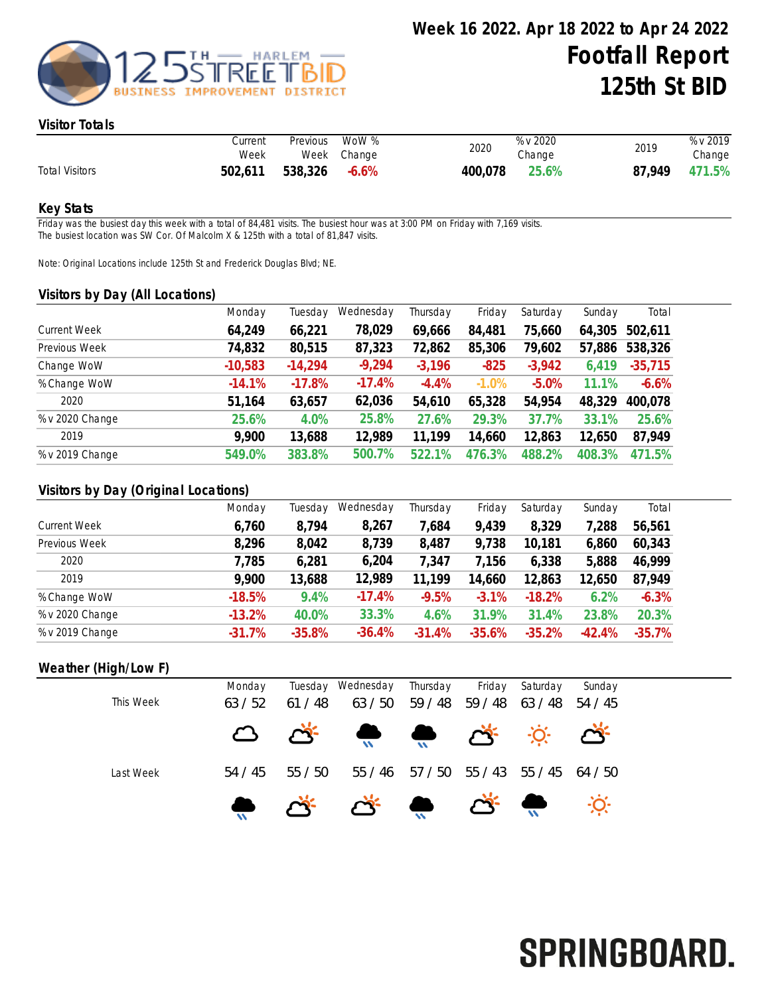

#### Visitor Totals

|                       | Current<br>Week | Previous | WoW %<br>Week Change | 2020    | % v 2020<br>Change | 2019   | % v 2019<br>Change |
|-----------------------|-----------------|----------|----------------------|---------|--------------------|--------|--------------------|
| <b>Total Visitors</b> | 502,611         | 538,326  | $-6.6\%$             | 400,078 | 25.6%              | 87.949 | 471.5%             |

#### Key Stats

Friday was the busiest day this week with a total of 84,481 visits. The busiest hour was at 3:00 PM on Friday with 7,169 visits. The busiest location was SW Cor. Of Malcolm X & 125th with a total of 81,847 visits.

Note: Original Locations include 125th St and Frederick Douglas Blvd; NE.

#### Visitors by Day (All Locations)

|                     | Monday    | Tuesday   | Wednesday | Thursday | Friday  | Saturday | Sunday | Total     |
|---------------------|-----------|-----------|-----------|----------|---------|----------|--------|-----------|
| <b>Current Week</b> | 64,249    | 66,221    | 78,029    | 69,666   | 84,481  | 75,660   | 64,305 | 502,611   |
| Previous Week       | 74,832    | 80,515    | 87,323    | 72,862   | 85,306  | 79,602   | 57,886 | 538,326   |
| Change WoW          | $-10,583$ | $-14,294$ | $-9,294$  | $-3,196$ | $-825$  | $-3,942$ | 6,419  | $-35,715$ |
| % Change WoW        | $-14.1%$  | $-17.8%$  | $-17.4%$  | $-4.4%$  | $-1.0%$ | $-5.0%$  | 11.1%  | $-6.6%$   |
| 2020                | 51,164    | 63,657    | 62,036    | 54,610   | 65,328  | 54,954   | 48,329 | 400,078   |
| % v 2020 Change     | 25.6%     | 4.0%      | 25.8%     | 27.6%    | 29.3%   | 37.7%    | 33.1%  | 25.6%     |
| 2019                | 9,900     | 13,688    | 12,989    | 11,199   | 14,660  | 12,863   | 12,650 | 87,949    |
| % v 2019 Change     | 549.0%    | 383.8%    | 500.7%    | 522.1%   | 476.3%  | 488.2%   | 408.3% | 471.5%    |
|                     |           |           |           |          |         |          |        |           |

### Visitors by Day (Original Locations)

|                     | Monday   | Tuesday  | Wednesday | Thursday | Friday   | Saturday | Sunday    | Total    |
|---------------------|----------|----------|-----------|----------|----------|----------|-----------|----------|
| <b>Current Week</b> | 6,760    | 8,794    | 8,267     | 7,684    | 9,439    | 8,329    | 7,288     | 56,561   |
| Previous Week       | 8,296    | 8,042    | 8,739     | 8,487    | 9,738    | 10,181   | 6,860     | 60,343   |
| 2020                | 7,785    | 6,281    | 6,204     | 7,347    | 7,156    | 6,338    | 5,888     | 46,999   |
| 2019                | 9,900    | 13,688   | 12,989    | 11,199   | 14,660   | 12,863   | 12,650    | 87,949   |
| % Change WoW        | $-18.5%$ | 9.4%     | $-17.4%$  | $-9.5%$  | $-3.1%$  | $-18.2%$ | 6.2%      | $-6.3%$  |
| % v 2020 Change     | $-13.2%$ | 40.0%    | 33.3%     | 4.6%     | 31.9%    | 31.4%    | 23.8%     | 20.3%    |
| % v 2019 Change     | $-31.7%$ | $-35.8%$ | $-36.4%$  | $-31.4%$ | $-35.6%$ | $-35.2%$ | $-42.4\%$ | $-35.7%$ |

## Weather (High/Low F)

| This Week | Monday<br>63 / 52 | 61/48   | Tuesday Wednesday<br>63 / 50                                                    | Thursday<br>59 / 48 59 / 48 | Friday | Saturday<br>63/48 54/45 | Sunday |
|-----------|-------------------|---------|---------------------------------------------------------------------------------|-----------------------------|--------|-------------------------|--------|
|           |                   |         | O Q Q Q Q                                                                       |                             |        |                         |        |
| Last Week | 54 / 45           | 55 / 50 |                                                                                 | 55 / 46 57 / 50 55 / 43     |        | 55 / 45 64 / 50         |        |
|           |                   |         | $\bullet$ $\bullet$ $\bullet$ $\bullet$ $\bullet$ $\bullet$ $\bullet$ $\bullet$ |                             |        |                         |        |

# SPRINGBOARD.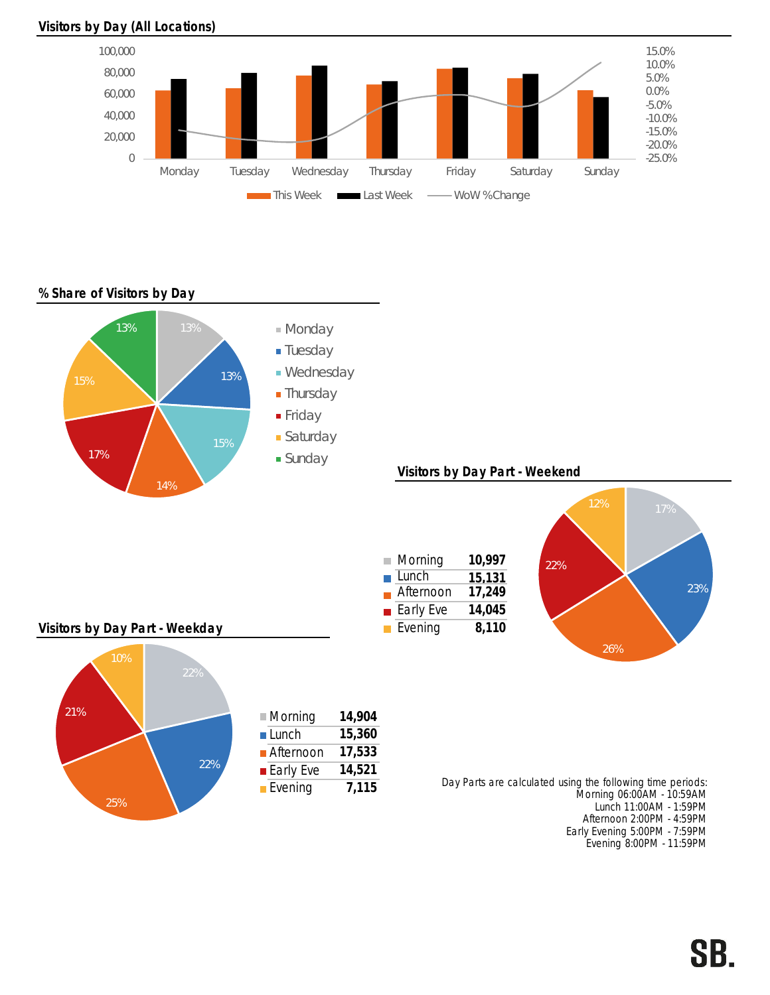

Visitors by Day (All Locations)

## % Share of Visitors by Day



Early Evening 5:00PM - 7:59PM Evening 8:00PM - 11:59PM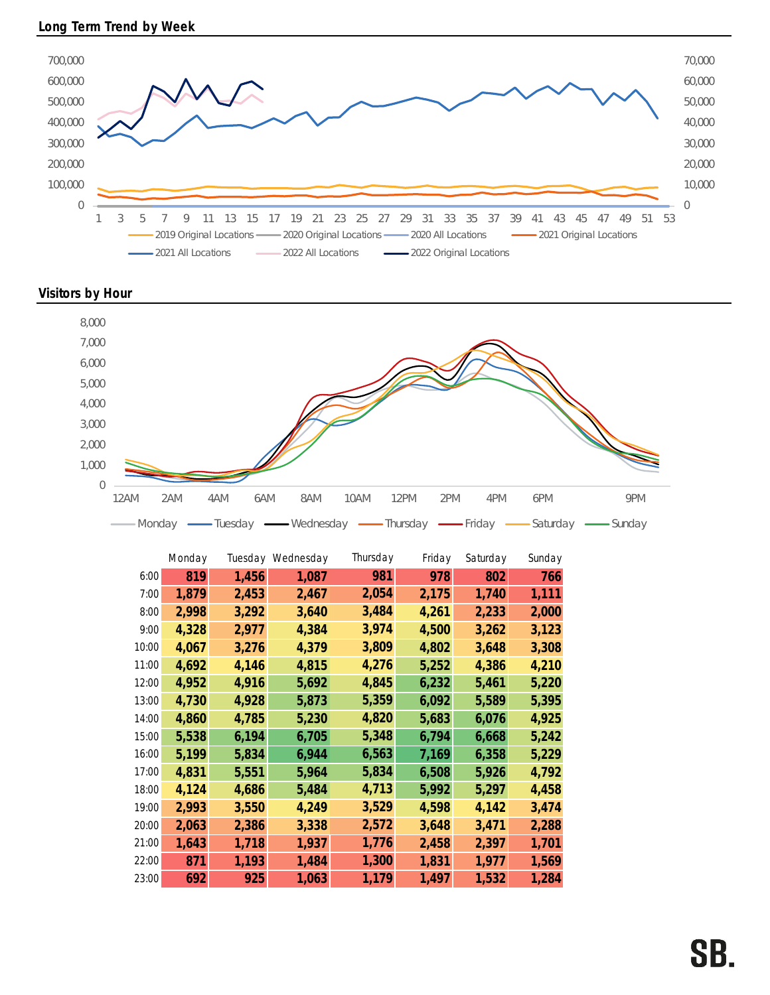

Visitors by Hour



|       | Monday |       | Tuesday Wednesday | Thursday | Friday | Saturday | Sunday |
|-------|--------|-------|-------------------|----------|--------|----------|--------|
| 6:00  | 819    | 1,456 | 1,087             | 981      | 978    | 802      | 766    |
| 7:00  | 1,879  | 2,453 | 2,467             | 2,054    | 2,175  | 1,740    | 1,111  |
| 8:00  | 2,998  | 3,292 | 3,640             | 3,484    | 4,261  | 2,233    | 2,000  |
| 9:00  | 4,328  | 2,977 | 4,384             | 3,974    | 4,500  | 3,262    | 3,123  |
| 10:00 | 4,067  | 3,276 | 4,379             | 3,809    | 4,802  | 3,648    | 3,308  |
| 11:00 | 4,692  | 4,146 | 4,815             | 4,276    | 5,252  | 4,386    | 4,210  |
| 12:00 | 4,952  | 4,916 | 5,692             | 4,845    | 6,232  | 5,461    | 5,220  |
| 13:00 | 4,730  | 4,928 | 5,873             | 5,359    | 6,092  | 5,589    | 5,395  |
| 14:00 | 4,860  | 4,785 | 5,230             | 4,820    | 5,683  | 6,076    | 4,925  |
| 15:00 | 5,538  | 6,194 | 6,705             | 5,348    | 6,794  | 6,668    | 5,242  |
| 16:00 | 5,199  | 5,834 | 6,944             | 6,563    | 7,169  | 6,358    | 5,229  |
| 17:00 | 4,831  | 5,551 | 5,964             | 5,834    | 6,508  | 5,926    | 4,792  |
| 18:00 | 4,124  | 4,686 | 5,484             | 4,713    | 5,992  | 5,297    | 4,458  |
| 19:00 | 2,993  | 3,550 | 4,249             | 3,529    | 4,598  | 4,142    | 3,474  |
| 20:00 | 2,063  | 2,386 | 3,338             | 2,572    | 3,648  | 3,471    | 2,288  |
| 21:00 | 1,643  | 1,718 | 1,937             | 1,776    | 2,458  | 2,397    | 1,701  |
| 22:00 | 871    | 1,193 | 1,484             | 1,300    | 1,831  | 1,977    | 1,569  |
| 23:00 | 692    | 925   | 1,063             | 1,179    | 1,497  | 1,532    | 1,284  |